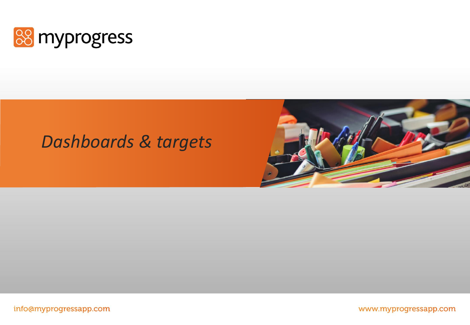

### *Dashboards & targets*



info@myprogressapp.com

www.myprogressapp.com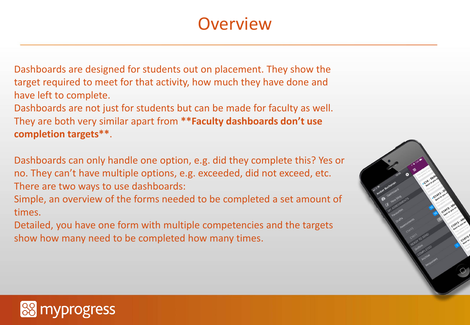# **Overview**

Dashboards are designed for students out on placement. They show the target required to meet for that activity, how much they have done and have left to complete.

Dashboards are not just for students but can be made for faculty as well. They are both very similar apart from **\*\*Faculty dashboards don't use completion targets\*\***.

Dashboards can only handle one option, e.g. did they complete this? Yes or no. They can't have multiple options, e.g. exceeded, did not exceed, etc. There are two ways to use dashboards:

Simple, an overview of the forms needed to be completed a set amount of times.

Detailed, you have one form with multiple competencies and the targets show how many need to be completed how many times.



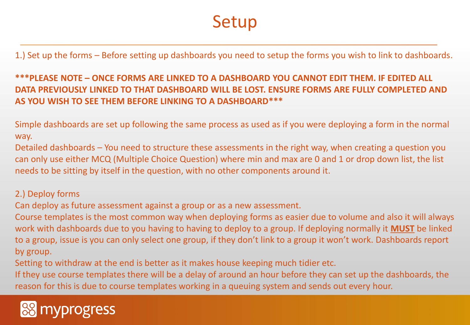## Setup

1.) Set up the forms – Before setting up dashboards you need to setup the forms you wish to link to dashboards.

**\*\*\*PLEASE NOTE – ONCE FORMS ARE LINKED TO A DASHBOARD YOU CANNOT EDIT THEM. IF EDITED ALL DATA PREVIOUSLY LINKED TO THAT DASHBOARD WILL BE LOST. ENSURE FORMS ARE FULLY COMPLETED AND AS YOU WISH TO SEE THEM BEFORE LINKING TO A DASHBOARD\*\*\***

Simple dashboards are set up following the same process as used as if you were deploying a form in the normal way.

Detailed dashboards – You need to structure these assessments in the right way, when creating a question you can only use either MCQ (Multiple Choice Question) where min and max are 0 and 1 or drop down list, the list needs to be sitting by itself in the question, with no other components around it.

### 2.) Deploy forms

Can deploy as future assessment against a group or as a new assessment.

Course templates is the most common way when deploying forms as easier due to volume and also it will always work with dashboards due to you having to having to deploy to a group. If deploying normally it **MUST** be linked to a group, issue is you can only select one group, if they don't link to a group it won't work. Dashboards report by group.

Setting to withdraw at the end is better as it makes house keeping much tidier etc.

If they use course templates there will be a delay of around an hour before they can set up the dashboards, the reason for this is due to course templates working in a queuing system and sends out every hour.

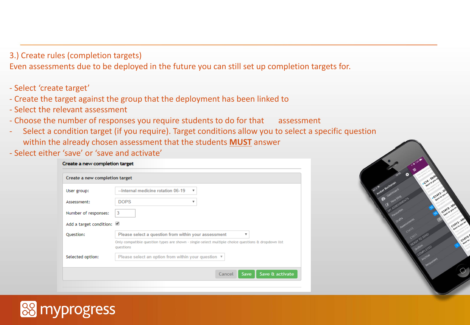### 3.) Create rules (completion targets)

Even assessments due to be deployed in the future you can still set up completion targets for.

- Select 'create target'
- Create the target against the group that the deployment has been linked to
- Select the relevant assessment
- Choose the number of responses you require students to do for that assessment
- Select a condition target (if you require). Target conditions allow you to select a specific question within the already chosen assessment that the students **MUST** answer
- Select either 'save' or 'save and activate'

| Create a new completion target |                                                                                                                 |
|--------------------------------|-----------------------------------------------------------------------------------------------------------------|
| User group:                    | --Internal medicine rotation 06-19<br>$\boldsymbol{\mathrm{v}}$                                                 |
| Assessment:                    | <b>DOPS</b><br>$\overline{\mathbf{v}}$                                                                          |
| Number of responses:           | 3                                                                                                               |
| Add a target condition:        |                                                                                                                 |
|                                |                                                                                                                 |
|                                | Please select a question from within your assessment<br>▼                                                       |
|                                | Only compatible question types are shown - single-select multiple choice questions & dropdown list<br>questions |
| Question:<br>Selected option:  | Please select an option from within your question ▼                                                             |



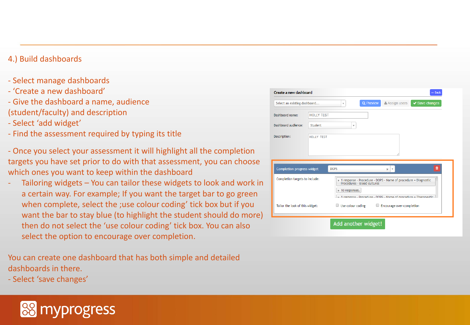#### 4.) Build dashboards

- Select manage dashboards
- 'Create a new dashboard'
- Give the dashboard a name, audience (student/faculty) and description
- Select 'add widget'
- Find the assessment required by typing its title
- Once you select your assessment it will highlight all the completion targets you have set prior to do with that assessment, you can choose which ones you want to keep within the dashboard
- Tailoring widgets You can tailor these widgets to look and work in a certain way. For example; If you want the target bar to go green when complete, select the ;use colour coding' tick box but if you want the bar to stay blue (to highlight the student should do more) then do not select the 'use colour coding' tick box. You can also select the option to encourage over completion.

You can create one dashboard that has both simple and detailed dashboards in there.

- Select 'save changes'



| Select an existing dashboard      |                   | $\overline{\mathbf{v}}$ | <b>Q</b> Preview | Assign users                                                                                                                                                         | $\vee$ Save changes |
|-----------------------------------|-------------------|-------------------------|------------------|----------------------------------------------------------------------------------------------------------------------------------------------------------------------|---------------------|
| Dashboard name:                   | <b>HOLLY TEST</b> |                         |                  |                                                                                                                                                                      |                     |
| Dashboard audience:               | Student           |                         | ۷                |                                                                                                                                                                      |                     |
| Description:                      | HOLLY TEST        |                         |                  |                                                                                                                                                                      |                     |
|                                   |                   |                         |                  |                                                                                                                                                                      |                     |
| <b>Completion progress widget</b> |                   | <b>DOPS</b>             |                  | $\overline{\mathbf{v}}$<br>$\mathbf x$                                                                                                                               | 會                   |
| Completion targets to include:    |                   | $\times$ 10 responses.  |                  | x 1 response - Procedure - DOPS - Name of procedure = Diagnostic<br>Procedures - Blood cultures<br>y 1 response - Procedure - DOPS - Name of procedure = Therapeutic |                     |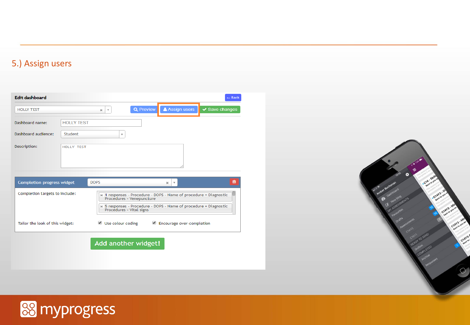#### 5.) Assign users





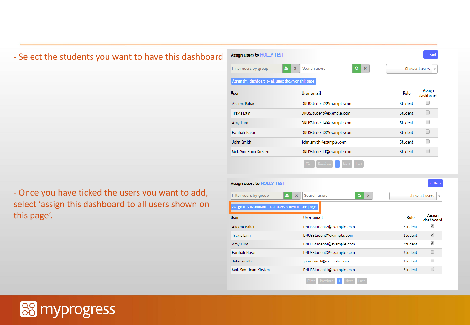#### - Select the students you want to have this dashboard Assign users to HOLLY TEST  $2.1x$  $|a|$  x Filter users by group Search users Show all users Assign this dashboard to all users shown on this page **User User email** Role Akeem Bakar DNUSStudent2@example.com Student **Travis Lam** DNUSStudent@example.com Student Amy Lum DNUSStudent4@example.com Student **Farihah Nasar** DNUSStudent3@example.com Student John Smith john.smith@example.com Student Mok Soo Hoon Kirsten DNUSStudent1@example.com Student First Previous 1 Assign users to **HOLLY TEST** - Once you have ticked the users you want to add,  $Q$  x Filter users by group المع  $\mathbf{x}$ Search users select 'assign this dashboard to all users shown on ssign this dashboard to all users shown on this pag this page'.User **User email** Akeem Bakar DNUSStudent2@example.com



- Back

**Assign** 

dashboard

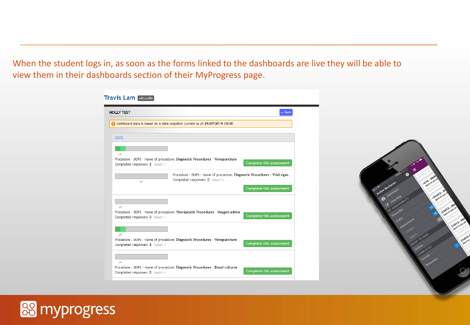When the student logs in, as soon as the forms linked to the dashboards are live they will be able to view them in their dashboards section of their MyProgress page.

| <b>HOLLY TEST</b>                                                                                                  | $-$ Back                        |
|--------------------------------------------------------------------------------------------------------------------|---------------------------------|
| Dashboard data is based on a data snapshot current as of 29/07/2019 18:00                                          |                                 |
| <b>DOPS</b>                                                                                                        |                                 |
|                                                                                                                    |                                 |
| Procedure - DOPS - Name of procedure: Diagnostic Procedures - Venepuncture<br>Completed responses: 2 TARGET: 1     | Complete this assessment        |
| Procedure - DOPS - Name of procedure: Diagnostic Procedures - Vital signs<br>Completed responses: 0 TARGET: 5<br>ᄉ |                                 |
|                                                                                                                    | <b>Complete this assessment</b> |
|                                                                                                                    |                                 |
| Procedure - DOPS - Name of procedure: Therapeutic Procedures - Oxygen admin<br>Completed responses: 0 TARGET: 1    | <b>Complete this assessment</b> |
| ́                                                                                                                  |                                 |
| Procedure - DOPS - Name of procedure: Diagnostic Procedures - Venepuncture<br>Completed responses: 2 TARGET: 1     | Complete this assessment        |
|                                                                                                                    |                                 |
| ᆺ<br>Procedure - DOPS - Name of procedure: Diagnostic Procedures - Blood cultures                                  | <b>Complete this assessment</b> |



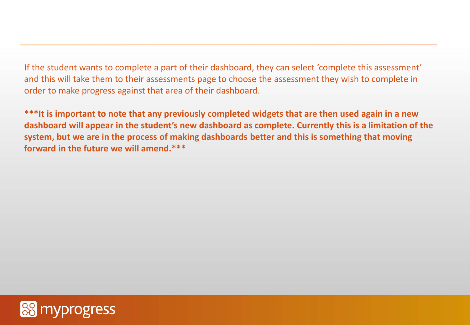If the student wants to complete a part of their dashboard, they can select 'complete this assessment' and this will take them to their assessments page to choose the assessment they wish to complete in order to make progress against that area of their dashboard.

**\*\*\*It is important to note that any previously completed widgets that are then used again in a new dashboard will appear in the student's new dashboard as complete. Currently this is a limitation of the system, but we are in the process of making dashboards better and this is something that moving forward in the future we will amend.\*\*\***

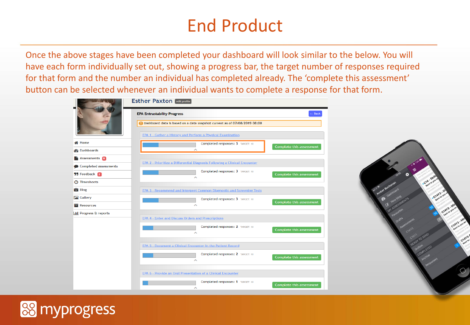# End Product

Once the above stages have been completed your dashboard will look similar to the below. You will have each form individually set out, showing a progress bar, the target number of responses required for that form and the number an individual has completed already. The 'complete this assessment' button can be selected whenever an individual wants to complete a response for that form.

|                               | <b>Esther Paxton edit profile</b>                                                                                                               |        |  |  |  |  |  |
|-------------------------------|-------------------------------------------------------------------------------------------------------------------------------------------------|--------|--|--|--|--|--|
|                               | <b>EPA Entrustability Progress</b>                                                                                                              | ← Back |  |  |  |  |  |
|                               | Dashboard data is based on a data snapshot current as of 07/08/2019 08:00<br><b>EPA 1 - Gather a History and Perform a Physical Examination</b> |        |  |  |  |  |  |
|                               |                                                                                                                                                 |        |  |  |  |  |  |
| <b>N</b> Home                 | Completed responses: 3 TARGET: 10<br>Complete this assessment                                                                                   |        |  |  |  |  |  |
| <b>Dashboards</b>             |                                                                                                                                                 |        |  |  |  |  |  |
| Assessments 8                 |                                                                                                                                                 |        |  |  |  |  |  |
| Completed assessments         | <b>EPA 2 - Prioritize a Differential Diagnosis Following a Clinical Encounter</b>                                                               |        |  |  |  |  |  |
| <b>59 Feedback 2</b>          | Completed responses: 3 TARGET: 10<br><b>Complete this assessment</b>                                                                            |        |  |  |  |  |  |
| <b>3</b> Timesheets           |                                                                                                                                                 |        |  |  |  |  |  |
| <b>击 Blog</b>                 | <b>EPA 3 - Recommend and Interpret Common Diagnostic and Screening Tests</b>                                                                    |        |  |  |  |  |  |
| <b>M</b> Gallery              | Completed responses: 3 TARGET: 10<br>Complete this assessment                                                                                   |        |  |  |  |  |  |
| Resources                     |                                                                                                                                                 |        |  |  |  |  |  |
| <b>III</b> Progress & reports |                                                                                                                                                 |        |  |  |  |  |  |
|                               | <b>EPA 4 - Enter and Discuss Orders and Prescriptions</b>                                                                                       |        |  |  |  |  |  |
|                               | Completed responses: 2 TARGET: 10<br><b>Complete this assessment</b><br>́                                                                       |        |  |  |  |  |  |
|                               |                                                                                                                                                 |        |  |  |  |  |  |
|                               | <b>EPA 5 - Document a Clinical Encounter in the Patient Record</b>                                                                              |        |  |  |  |  |  |
|                               | Completed responses: 2 TARGET: 10<br>Complete this assessment<br>ᄉ                                                                              |        |  |  |  |  |  |
|                               |                                                                                                                                                 |        |  |  |  |  |  |
|                               | <b>EPA 6 - Provide an Oral Presentation of a Clinical Encounter</b>                                                                             |        |  |  |  |  |  |
|                               | Completed responses: 1 TARGET: 10<br><b>Complete this assessment</b><br>́                                                                       |        |  |  |  |  |  |